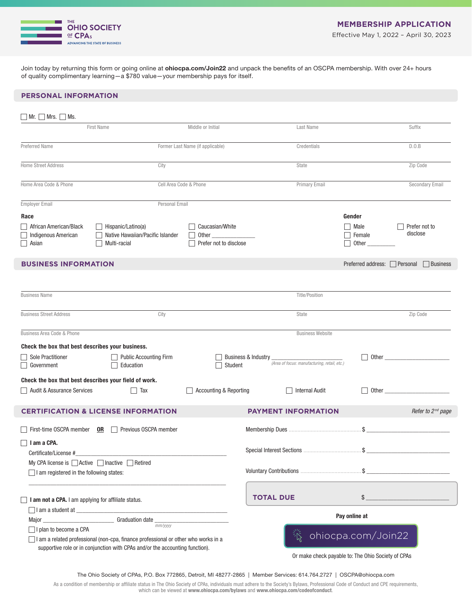

Join today by returning this form or going online at ohiocpa.com/Join22 and unpack the benefits of an OSCPA membership. With over 24+ hours of quality complimentary learning—a \$780 value—your membership pays for itself.

#### **PERSONAL INFORMATION**

| $\Box$ Mr. $\Box$ Mrs. $\Box$ Ms.                                                                  |                                                                                                 |                                           |                                                                     |                                         |                                                                                                                                                                                                                                      |
|----------------------------------------------------------------------------------------------------|-------------------------------------------------------------------------------------------------|-------------------------------------------|---------------------------------------------------------------------|-----------------------------------------|--------------------------------------------------------------------------------------------------------------------------------------------------------------------------------------------------------------------------------------|
|                                                                                                    | <b>First Name</b>                                                                               | Middle or Initial                         | Last Name                                                           |                                         | Suffix                                                                                                                                                                                                                               |
| Preferred Name                                                                                     |                                                                                                 | Former Last Name (if applicable)          | Credentials                                                         |                                         | D.0.B                                                                                                                                                                                                                                |
| <b>Home Street Address</b>                                                                         | City                                                                                            |                                           | State                                                               |                                         | Zip Code                                                                                                                                                                                                                             |
| Home Area Code & Phone                                                                             |                                                                                                 | Cell Area Code & Phone                    | <b>Primary Email</b>                                                |                                         | Secondary Email                                                                                                                                                                                                                      |
| <b>Employer Email</b>                                                                              | Personal Email                                                                                  |                                           |                                                                     |                                         |                                                                                                                                                                                                                                      |
| Race                                                                                               |                                                                                                 |                                           |                                                                     | Gender                                  |                                                                                                                                                                                                                                      |
| African American/Black<br>Indigenous American<br>$\Box$ Asian                                      | $\Box$ Hispanic/Latino(a)<br>Native Hawaiian/Pacific Islander<br>$\perp$<br>Multi-racial        | Caucasian/White<br>Prefer not to disclose |                                                                     | □ Male<br>Female<br>$\Box$ Other $\_\_$ | Prefer not to<br>disclose                                                                                                                                                                                                            |
| <b>BUSINESS INFORMATION</b>                                                                        |                                                                                                 |                                           |                                                                     |                                         | Preferred address: □ Personal □ Business                                                                                                                                                                                             |
| <b>Business Name</b>                                                                               |                                                                                                 |                                           | <b>Title/Position</b>                                               |                                         |                                                                                                                                                                                                                                      |
| <b>Business Street Address</b>                                                                     | City                                                                                            |                                           | State                                                               |                                         | Zip Code                                                                                                                                                                                                                             |
| Business Area Code & Phone                                                                         |                                                                                                 |                                           | <b>Business Website</b>                                             |                                         |                                                                                                                                                                                                                                      |
| Check the box that best describes your business.                                                   |                                                                                                 |                                           |                                                                     |                                         |                                                                                                                                                                                                                                      |
| Sole Practitioner<br>$\Box$ Government                                                             | <b>Public Accounting Firm</b><br>Education                                                      | Student                                   | Business & Industry<br>(Area of focus: manufacturing, retail, etc.) |                                         | Other <u>the contract of the contract of the contract of the contract of the contract of the contract of the contract of the contract of the contract of the contract of the contract of the contract of the contract of the con</u> |
| Check the box that best describes your field of work.                                              |                                                                                                 |                                           |                                                                     |                                         |                                                                                                                                                                                                                                      |
| Audit & Assurance Services                                                                         | $\Box$ Tax                                                                                      | Accounting & Reporting                    | Internal Audit                                                      |                                         | Other than the contract of the contract of the contract of the contract of the contract of the contract of the                                                                                                                       |
|                                                                                                    | <b>CERTIFICATION &amp; LICENSE INFORMATION</b>                                                  |                                           | <b>PAYMENT INFORMATION</b>                                          |                                         | Refer to 2 <sup>nd</sup> page                                                                                                                                                                                                        |
|                                                                                                    | First-time OSCPA member OR Previous OSCPA member                                                |                                           |                                                                     |                                         |                                                                                                                                                                                                                                      |
| $\Box$ I am a CPA.<br>Certificate/License #                                                        |                                                                                                 |                                           |                                                                     |                                         |                                                                                                                                                                                                                                      |
| My CPA license is △ Active △ Inactive △ Retired<br>$\Box$ I am registered in the following states: |                                                                                                 |                                           |                                                                     |                                         |                                                                                                                                                                                                                                      |
| I am not a CPA. I am applying for affiliate status.                                                |                                                                                                 |                                           | <b>TOTAL DUE</b>                                                    | \$                                      |                                                                                                                                                                                                                                      |
| $\Box$ I am a student at $\Box$                                                                    | Graduation date __                                                                              |                                           | Pay online at                                                       |                                         |                                                                                                                                                                                                                                      |
| I plan to become a CPA                                                                             | mm/yyyy<br>□ I am a related professional (non-cpa, finance professional or other who works in a |                                           |                                                                     | ohiocpa.com/Join22                      |                                                                                                                                                                                                                                      |
| supportive role or in conjunction with CPAs and/or the accounting function).                       |                                                                                                 |                                           | Or make check payable to: The Ohio Society of CPAs                  |                                         |                                                                                                                                                                                                                                      |

The Ohio Society of CPAs, P.O. Box 772865, Detroit, MI 48277-2865 | Member Services: 614.764.2727 | OSCPA@ohiocpa.com

As a condition of membership or affiliate status in The Ohio Society of CPAs, individuals must adhere to the Society's Bylaws, Professional Code of Conduct and CPE requirements,<br>which can be viewed at **www.ohiocpa.com/byla**